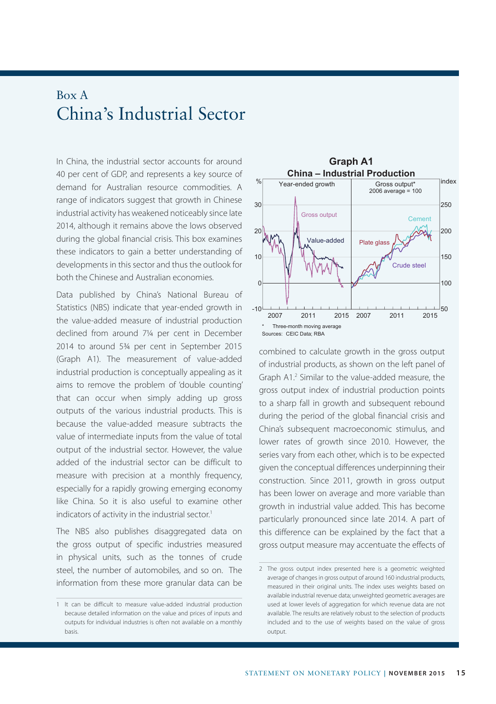## Box A China's Industrial Sector

In China, the industrial sector accounts for around 40 per cent of GDP, and represents a key source of demand for Australian resource commodities. A range of indicators suggest that growth in Chinese industrial activity has weakened noticeably since late 2014, although it remains above the lows observed during the global financial crisis. This box examines these indicators to gain a better understanding of developments in this sector and thus the outlook for both the Chinese and Australian economies.

Data published by China's National Bureau of Statistics (NBS) indicate that year-ended growth in the value-added measure of industrial production declined from around 7¼ per cent in December 2014 to around 5¾ per cent in September 2015 (Graph A1). The measurement of value-added industrial production is conceptually appealing as it aims to remove the problem of 'double counting' that can occur when simply adding up gross outputs of the various industrial products. This is because the value-added measure subtracts the value of intermediate inputs from the value of total output of the industrial sector. However, the value added of the industrial sector can be difficult to measure with precision at a monthly frequency, especially for a rapidly growing emerging economy like China. So it is also useful to examine other indicators of activity in the industrial sector.<sup>1</sup>

The NBS also publishes disaggregated data on the gross output of specific industries measured in physical units, such as the tonnes of crude steel, the number of automobiles, and so on. The information from these more granular data can be



combined to calculate growth in the gross output of industrial products, as shown on the left panel of Graph A1.<sup>2</sup> Similar to the value-added measure, the gross output index of industrial production points to a sharp fall in growth and subsequent rebound during the period of the global financial crisis and China's subsequent macroeconomic stimulus, and lower rates of growth since 2010. However, the series vary from each other, which is to be expected given the conceptual differences underpinning their construction. Since 2011, growth in gross output has been lower on average and more variable than growth in industrial value added. This has become particularly pronounced since late 2014. A part of this difference can be explained by the fact that a gross output measure may accentuate the effects of

<sup>1</sup> It can be difficult to measure value-added industrial production because detailed information on the value and prices of inputs and outputs for individual industries is often not available on a monthly basis.

<sup>2</sup> The gross output index presented here is a geometric weighted average of changes in gross output of around 160 industrial products, measured in their original units. The index uses weights based on available industrial revenue data; unweighted geometric averages are used at lower levels of aggregation for which revenue data are not available. The results are relatively robust to the selection of products included and to the use of weights based on the value of gross output.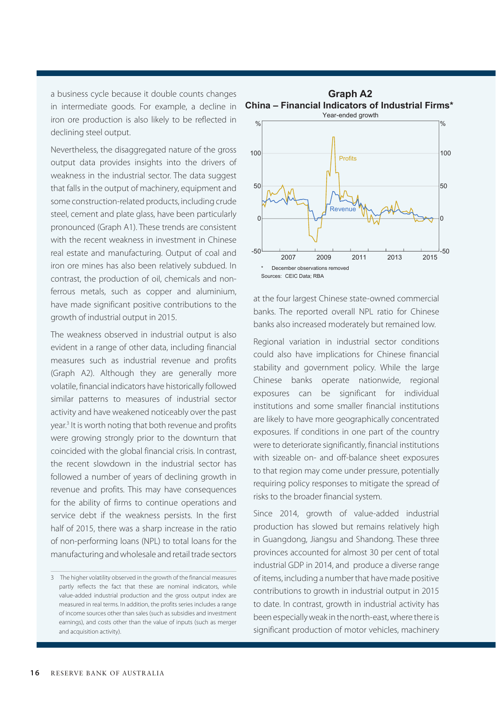a business cycle because it double counts changes in intermediate goods. For example, a decline in iron ore production is also likely to be reflected in declining steel output.

Nevertheless, the disaggregated nature of the gross output data provides insights into the drivers of weakness in the industrial sector. The data suggest that falls in the output of machinery, equipment and some construction-related products, including crude steel, cement and plate glass, have been particularly pronounced (Graph A1). These trends are consistent with the recent weakness in investment in Chinese real estate and manufacturing. Output of coal and iron ore mines has also been relatively subdued. In contrast, the production of oil, chemicals and nonferrous metals, such as copper and aluminium, have made significant positive contributions to the growth of industrial output in 2015.

The weakness observed in industrial output is also evident in a range of other data, including financial measures such as industrial revenue and profits (Graph A2). Although they are generally more volatile, financial indicators have historically followed similar patterns to measures of industrial sector activity and have weakened noticeably over the past year.3 It is worth noting that both revenue and profits were growing strongly prior to the downturn that coincided with the global financial crisis. In contrast, the recent slowdown in the industrial sector has followed a number of years of declining growth in revenue and profits. This may have consequences for the ability of firms to continue operations and service debt if the weakness persists. In the first half of 2015, there was a sharp increase in the ratio of non-performing loans (NPL) to total loans for the manufacturing and wholesale and retail trade sectors



**China – Financial Indicators of Industrial Firms\* Graph A2**

at the four largest Chinese state-owned commercial banks. The reported overall NPL ratio for Chinese banks also increased moderately but remained low.

Regional variation in industrial sector conditions could also have implications for Chinese financial stability and government policy. While the large Chinese banks operate nationwide, regional exposures can be significant for individual institutions and some smaller financial institutions are likely to have more geographically concentrated exposures. If conditions in one part of the country were to deteriorate significantly, financial institutions with sizeable on- and off-balance sheet exposures to that region may come under pressure, potentially requiring policy responses to mitigate the spread of risks to the broader financial system.

Since 2014, growth of value-added industrial production has slowed but remains relatively high in Guangdong, Jiangsu and Shandong. These three provinces accounted for almost 30 per cent of total industrial GDP in 2014, and produce a diverse range of items, including a number that have made positive contributions to growth in industrial output in 2015 to date. In contrast, growth in industrial activity has been especially weak in the north-east, where there is significant production of motor vehicles, machinery

<sup>3</sup> The higher volatility observed in the growth of the financial measures partly reflects the fact that these are nominal indicators, while value-added industrial production and the gross output index are measured in real terms. In addition, the profits series includes a range of income sources other than sales (such as subsidies and investment earnings), and costs other than the value of inputs (such as merger and acquisition activity).